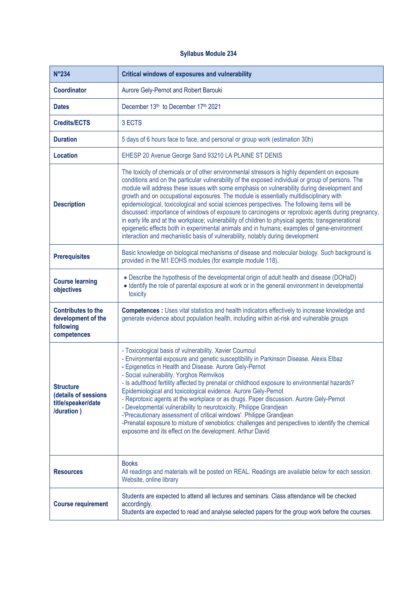## **Syllabus Module 234**

| <b>N°234</b>                                                                 | <b>Critical windows of exposures and vulnerability</b>                                                                                                                                                                                                                                                                                                                                                                                                                                                                                                                                                                                                                                                                                                                                                                                                                                    |
|------------------------------------------------------------------------------|-------------------------------------------------------------------------------------------------------------------------------------------------------------------------------------------------------------------------------------------------------------------------------------------------------------------------------------------------------------------------------------------------------------------------------------------------------------------------------------------------------------------------------------------------------------------------------------------------------------------------------------------------------------------------------------------------------------------------------------------------------------------------------------------------------------------------------------------------------------------------------------------|
| <b>Coordinator</b>                                                           | Aurore Gely-Pernot and Robert Barouki                                                                                                                                                                                                                                                                                                                                                                                                                                                                                                                                                                                                                                                                                                                                                                                                                                                     |
| <b>Dates</b>                                                                 | December 13th to December 17th 2021                                                                                                                                                                                                                                                                                                                                                                                                                                                                                                                                                                                                                                                                                                                                                                                                                                                       |
| <b>Credits/ECTS</b>                                                          | 3 ECTS                                                                                                                                                                                                                                                                                                                                                                                                                                                                                                                                                                                                                                                                                                                                                                                                                                                                                    |
| <b>Duration</b>                                                              | 5 days of 6 hours face to face, and personal or group work (estimation 30h)                                                                                                                                                                                                                                                                                                                                                                                                                                                                                                                                                                                                                                                                                                                                                                                                               |
| <b>Location</b>                                                              | EHESP 20 Avenue George Sand 93210 LA PLAINE ST DENIS                                                                                                                                                                                                                                                                                                                                                                                                                                                                                                                                                                                                                                                                                                                                                                                                                                      |
| <b>Description</b>                                                           | The toxicity of chemicals or of other environmental stressors is highly dependent on exposure<br>conditions and on the particular vulnerability of the exposed individual or group of persons. The<br>module will address these issues with some emphasis on vulnerability during development and<br>growth and on occupational exposures. The module is essentially multidisciplinary with<br>epidemiological, toxicological and social sciences perspectives. The following items will be<br>discussed: importance of windows of exposure to carcinogens or reprotoxic agents during pregnancy,<br>in early life and at the workplace; vulnerability of children to physical agents; transgenerational<br>epigenetic effects both in experimental animals and in humans; examples of gene-environment<br>interaction and mechanistic basis of vulnerability, notably during development |
| <b>Prerequisites</b>                                                         | Basic knowledge on biological mechanisms of disease and molecular biology. Such background is<br>provided in the M1 EOHS modules (for example module 118).                                                                                                                                                                                                                                                                                                                                                                                                                                                                                                                                                                                                                                                                                                                                |
| <b>Course learning</b><br>objectives                                         | • Describe the hypothesis of the developmental origin of adult health and disease (DOHaD)<br>• Identify the role of parental exposure at work or in the general environment in developmental<br>toxicity                                                                                                                                                                                                                                                                                                                                                                                                                                                                                                                                                                                                                                                                                  |
| <b>Contributes to the</b><br>development of the<br>following<br>competences  | <b>Competences :</b> Uses vital statistics and health indicators effectively to increase knowledge and<br>generate evidence about population health, including within at-risk and vulnerable groups                                                                                                                                                                                                                                                                                                                                                                                                                                                                                                                                                                                                                                                                                       |
| <b>Structure</b><br>(details of sessions<br>title/speaker/date<br>/duration) | - Toxicological basis of vulnerability. Xavier Coumoul<br>- Environmental exposure and genetic susceptibility in Parkinson Disease. Alexis Elbaz<br>- Epigenetics in Health and Disease. Aurore Gely-Pernot<br>- Social vulnerability. Yorghos Remvikos<br>- Is adulthood fertility affected by prenatal or childhood exposure to environmental hazards?<br>Epidemiological and toxicological evidence. Aurore Gely-Pernot<br>- Reprotoxic agents at the workplace or as drugs. Paper discussion. Aurore Gely-Pernot<br>- Developmental vulnerability to neurotoxicity. Philippe Grandjean<br>-'Precautionary assessment of critical windows'. Philippe Grandjean<br>-Prenatal exposure to mixture of xenobiotics: challenges and perspectives to identify the chemical<br>exposome and its effect on the development. Arthur David                                                       |
| <b>Resources</b>                                                             | <b>Books</b><br>All readings and materials will be posted on REAL. Readings are available below for each session.<br>Website, online library                                                                                                                                                                                                                                                                                                                                                                                                                                                                                                                                                                                                                                                                                                                                              |
| <b>Course requirement</b>                                                    | Students are expected to attend all lectures and seminars. Class attendance will be checked<br>accordingly.<br>Students are expected to read and analyse selected papers for the group work before the courses.                                                                                                                                                                                                                                                                                                                                                                                                                                                                                                                                                                                                                                                                           |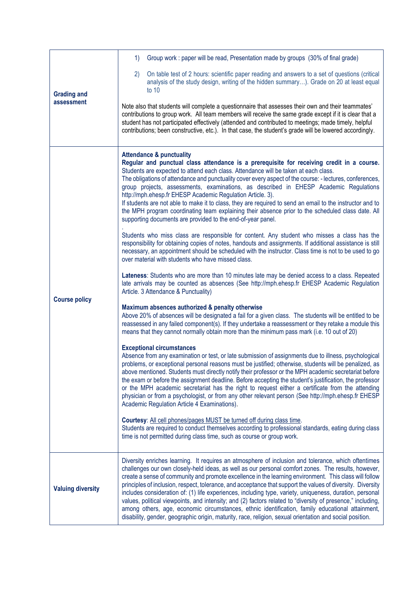| <b>Grading and</b><br>assessment | Group work : paper will be read, Presentation made by groups (30% of final grade)<br>1)                                                                                                                                                                                                                                                                                                                                                                                                                                                                                                                                                                                                                                                                                                                                                                                                                                                                                                                                                                                                                                                                                                                                                                                                                                                                                                                                                                                                                                                                                                                                                                                                                                                                                                                                                                                                                                                                                                                                                                                                                                                                                                                                                                                                                                                                                                                                                                                                                                                                                                                                                                                                                                                                            |
|----------------------------------|--------------------------------------------------------------------------------------------------------------------------------------------------------------------------------------------------------------------------------------------------------------------------------------------------------------------------------------------------------------------------------------------------------------------------------------------------------------------------------------------------------------------------------------------------------------------------------------------------------------------------------------------------------------------------------------------------------------------------------------------------------------------------------------------------------------------------------------------------------------------------------------------------------------------------------------------------------------------------------------------------------------------------------------------------------------------------------------------------------------------------------------------------------------------------------------------------------------------------------------------------------------------------------------------------------------------------------------------------------------------------------------------------------------------------------------------------------------------------------------------------------------------------------------------------------------------------------------------------------------------------------------------------------------------------------------------------------------------------------------------------------------------------------------------------------------------------------------------------------------------------------------------------------------------------------------------------------------------------------------------------------------------------------------------------------------------------------------------------------------------------------------------------------------------------------------------------------------------------------------------------------------------------------------------------------------------------------------------------------------------------------------------------------------------------------------------------------------------------------------------------------------------------------------------------------------------------------------------------------------------------------------------------------------------------------------------------------------------------------------------------------------------|
|                                  | On table test of 2 hours: scientific paper reading and answers to a set of questions (critical<br>(2)<br>analysis of the study design, writing of the hidden summary). Grade on 20 at least equal<br>to $10$                                                                                                                                                                                                                                                                                                                                                                                                                                                                                                                                                                                                                                                                                                                                                                                                                                                                                                                                                                                                                                                                                                                                                                                                                                                                                                                                                                                                                                                                                                                                                                                                                                                                                                                                                                                                                                                                                                                                                                                                                                                                                                                                                                                                                                                                                                                                                                                                                                                                                                                                                       |
|                                  | Note also that students will complete a questionnaire that assesses their own and their teammates'<br>contributions to group work. All team members will receive the same grade except if it is clear that a<br>student has not participated effectively (attended and contributed to meetings; made timely, helpful<br>contributions; been constructive, etc.). In that case, the student's grade will be lowered accordingly.                                                                                                                                                                                                                                                                                                                                                                                                                                                                                                                                                                                                                                                                                                                                                                                                                                                                                                                                                                                                                                                                                                                                                                                                                                                                                                                                                                                                                                                                                                                                                                                                                                                                                                                                                                                                                                                                                                                                                                                                                                                                                                                                                                                                                                                                                                                                    |
| <b>Course policy</b>             | <b>Attendance &amp; punctuality</b><br>Regular and punctual class attendance is a prerequisite for receiving credit in a course.<br>Students are expected to attend each class. Attendance will be taken at each class.<br>The obligations of attendance and punctuality cover every aspect of the course: - lectures, conferences,<br>group projects, assessments, examinations, as described in EHESP Academic Regulations<br>http://mph.ehesp.fr EHESP Academic Regulation Article. 3).<br>If students are not able to make it to class, they are required to send an email to the instructor and to<br>the MPH program coordinating team explaining their absence prior to the scheduled class date. All<br>supporting documents are provided to the end-of-year panel.<br>Students who miss class are responsible for content. Any student who misses a class has the<br>responsibility for obtaining copies of notes, handouts and assignments. If additional assistance is still<br>necessary, an appointment should be scheduled with the instructor. Class time is not to be used to go<br>over material with students who have missed class.<br>Lateness: Students who are more than 10 minutes late may be denied access to a class. Repeated<br>late arrivals may be counted as absences (See http://mph.ehesp.fr EHESP Academic Regulation<br>Article. 3 Attendance & Punctuality)<br>Maximum absences authorized & penalty otherwise<br>Above 20% of absences will be designated a fail for a given class. The students will be entitled to be<br>reassessed in any failed component(s). If they undertake a reassessment or they retake a module this<br>means that they cannot normally obtain more than the minimum pass mark (i.e. 10 out of 20)<br><b>Exceptional circumstances</b><br>Absence from any examination or test, or late submission of assignments due to illness, psychological<br>problems, or exceptional personal reasons must be justified; otherwise, students will be penalized, as<br>above mentioned. Students must directly notify their professor or the MPH academic secretariat before<br>the exam or before the assignment deadline. Before accepting the student's justification, the professor<br>or the MPH academic secretariat has the right to request either a certificate from the attending<br>physician or from a psychologist, or from any other relevant person (See http://mph.ehesp.fr EHESP<br>Academic Regulation Article 4 Examinations).<br>Courtesy: All cell phones/pages MUST be turned off during class time.<br>Students are required to conduct themselves according to professional standards, eating during class<br>time is not permitted during class time, such as course or group work. |
| <b>Valuing diversity</b>         | Diversity enriches learning. It requires an atmosphere of inclusion and tolerance, which oftentimes<br>challenges our own closely-held ideas, as well as our personal comfort zones. The results, however,<br>create a sense of community and promote excellence in the learning environment. This class will follow<br>principles of inclusion, respect, tolerance, and acceptance that support the values of diversity. Diversity<br>includes consideration of: (1) life experiences, including type, variety, uniqueness, duration, personal<br>values, political viewpoints, and intensity; and (2) factors related to "diversity of presence," including,<br>among others, age, economic circumstances, ethnic identification, family educational attainment,<br>disability, gender, geographic origin, maturity, race, religion, sexual orientation and social position.                                                                                                                                                                                                                                                                                                                                                                                                                                                                                                                                                                                                                                                                                                                                                                                                                                                                                                                                                                                                                                                                                                                                                                                                                                                                                                                                                                                                                                                                                                                                                                                                                                                                                                                                                                                                                                                                                     |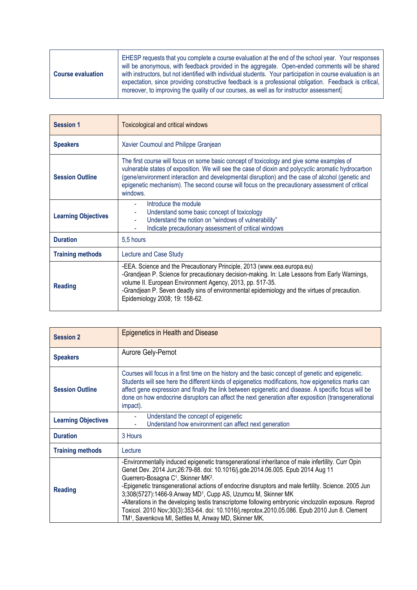| <b>Course evaluation</b> | EHESP requests that you complete a course evaluation at the end of the school year. Your responses<br>will be anonymous, with feedback provided in the aggregate. Open-ended comments will be shared<br>with instructors, but not identified with individual students. Your participation in course evaluation is an<br>expectation, since providing constructive feedback is a professional obligation. Feedback is critical,<br>moreover, to improving the quality of our courses, as well as for instructor assessment. |
|--------------------------|----------------------------------------------------------------------------------------------------------------------------------------------------------------------------------------------------------------------------------------------------------------------------------------------------------------------------------------------------------------------------------------------------------------------------------------------------------------------------------------------------------------------------|
|--------------------------|----------------------------------------------------------------------------------------------------------------------------------------------------------------------------------------------------------------------------------------------------------------------------------------------------------------------------------------------------------------------------------------------------------------------------------------------------------------------------------------------------------------------------|

| <b>Session 1</b>           | <b>Toxicological and critical windows</b>                                                                                                                                                                                                                                                                                                                                                                           |
|----------------------------|---------------------------------------------------------------------------------------------------------------------------------------------------------------------------------------------------------------------------------------------------------------------------------------------------------------------------------------------------------------------------------------------------------------------|
| <b>Speakers</b>            | Xavier Coumoul and Philippe Granjean                                                                                                                                                                                                                                                                                                                                                                                |
| <b>Session Outline</b>     | The first course will focus on some basic concept of toxicology and give some examples of<br>vulnerable states of exposition. We will see the case of dioxin and polycyclic aromatic hydrocarbon<br>(gene/environment interaction and developmental disruption) and the case of alcohol (genetic and<br>epigenetic mechanism). The second course will focus on the precautionary assessment of critical<br>windows. |
| <b>Learning Objectives</b> | Introduce the module<br>Understand some basic concept of toxicology<br>Understand the notion on "windows of vulnerability"<br>÷.<br>Indicate precautionary assessment of critical windows                                                                                                                                                                                                                           |
| <b>Duration</b>            | 5,5 hours                                                                                                                                                                                                                                                                                                                                                                                                           |
| <b>Training methods</b>    | Lecture and Case Study                                                                                                                                                                                                                                                                                                                                                                                              |
| <b>Reading</b>             | -EEA. Science and the Precautionary Principle, 2013 (www.eea.europa.eu)<br>-Grandjean P. Science for precautionary decision-making. In: Late Lessons from Early Warnings,<br>volume II. European Environment Agency, 2013, pp. 517-35.<br>-Grandjean P. Seven deadly sins of environmental epidemiology and the virtues of precaution.<br>Epidemiology 2008; 19: 158-62.                                            |

| <b>Session 2</b>           | <b>Epigenetics in Health and Disease</b>                                                                                                                                                                                                                                                                                                                                                                                                                                                                                                                                                                                                                                                                           |
|----------------------------|--------------------------------------------------------------------------------------------------------------------------------------------------------------------------------------------------------------------------------------------------------------------------------------------------------------------------------------------------------------------------------------------------------------------------------------------------------------------------------------------------------------------------------------------------------------------------------------------------------------------------------------------------------------------------------------------------------------------|
| <b>Speakers</b>            | Aurore Gely-Pernot                                                                                                                                                                                                                                                                                                                                                                                                                                                                                                                                                                                                                                                                                                 |
| <b>Session Outline</b>     | Courses will focus in a first time on the history and the basic concept of genetic and epigenetic.<br>Students will see here the different kinds of epigenetics modifications, how epigenetics marks can<br>affect gene expression and finally the link between epigenetic and disease. A specific focus will be<br>done on how endocrine disruptors can affect the next generation after exposition (transgenerational<br>impact).                                                                                                                                                                                                                                                                                |
| <b>Learning Objectives</b> | Understand the concept of epigenetic<br>Understand how environment can affect next generation                                                                                                                                                                                                                                                                                                                                                                                                                                                                                                                                                                                                                      |
| <b>Duration</b>            | 3 Hours                                                                                                                                                                                                                                                                                                                                                                                                                                                                                                                                                                                                                                                                                                            |
| <b>Training methods</b>    | Lecture                                                                                                                                                                                                                                                                                                                                                                                                                                                                                                                                                                                                                                                                                                            |
| <b>Reading</b>             | -Environmentally induced epigenetic transgenerational inheritance of male infertility. Curr Opin<br>Genet Dev. 2014 Jun;26:79-88. doi: 10.1016/j.gde.2014.06.005. Epub 2014 Aug 11<br>Guerrero-Bosagna C <sup>1</sup> , Skinner MK <sup>2</sup> .<br>-Epigenetic transgenerational actions of endocrine disruptors and male fertility. Science. 2005 Jun<br>3;308(5727):1466-9. Anway MD <sup>1</sup> , Cupp AS, Uzumcu M, Skinner MK<br>-Alterations in the developing testis transcriptome following embryonic vinclozolin exposure. Reprod<br>Toxicol. 2010 Nov;30(3):353-64. doi: 10.1016/j.reprotox.2010.05.086. Epub 2010 Jun 8. Clement<br>TM <sup>1</sup> , Savenkova MI, Settles M, Anway MD, Skinner MK. |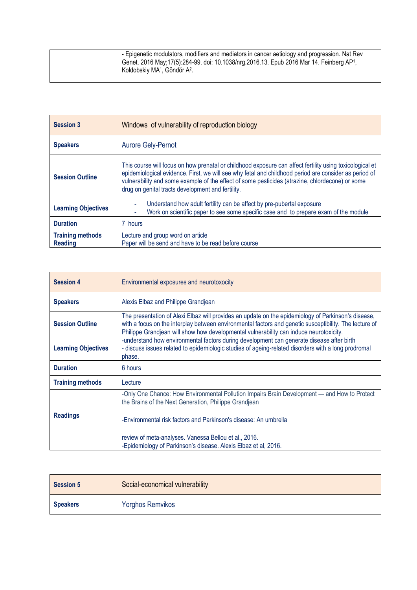| - Epigenetic modulators, modifiers and mediators in cancer aetiology and progression. Nat Rev<br>Genet. 2016 May; 17(5):284-99. doi: 10.1038/nrg.2016.13. Epub 2016 Mar 14. Feinberg AP <sup>1</sup> ,<br>Koldobskiy MA <sup>1</sup> , Göndör A <sup>2</sup> . |
|----------------------------------------------------------------------------------------------------------------------------------------------------------------------------------------------------------------------------------------------------------------|
|                                                                                                                                                                                                                                                                |

| <b>Session 3</b>                          | Windows of vulnerability of reproduction biology                                                                                                                                                                                                                                                                                                                          |
|-------------------------------------------|---------------------------------------------------------------------------------------------------------------------------------------------------------------------------------------------------------------------------------------------------------------------------------------------------------------------------------------------------------------------------|
| <b>Speakers</b>                           | <b>Aurore Gely-Pernot</b>                                                                                                                                                                                                                                                                                                                                                 |
| <b>Session Outline</b>                    | This course will focus on how prenatal or childhood exposure can affect fertility using toxicological et<br>epidemiological evidence. First, we will see why fetal and childhood period are consider as period of<br>vulnerability and some example of the effect of some pesticides (atrazine, chlordecone) or some<br>drug on genital tracts development and fertility. |
| <b>Learning Objectives</b>                | Understand how adult fertility can be affect by pre-pubertal exposure<br>Work on scientific paper to see some specific case and to prepare exam of the module                                                                                                                                                                                                             |
| <b>Duration</b>                           | 7 hours                                                                                                                                                                                                                                                                                                                                                                   |
| <b>Training methods</b><br><b>Reading</b> | Lecture and group word on article<br>Paper will be send and have to be read before course                                                                                                                                                                                                                                                                                 |

| <b>Session 4</b>           | Environmental exposures and neurotoxocity                                                                                                                                                                                                                                                                                                             |
|----------------------------|-------------------------------------------------------------------------------------------------------------------------------------------------------------------------------------------------------------------------------------------------------------------------------------------------------------------------------------------------------|
| <b>Speakers</b>            | Alexis Elbaz and Philippe Grandjean                                                                                                                                                                                                                                                                                                                   |
| <b>Session Outline</b>     | The presentation of Alexi Elbaz will provides an update on the epidemiology of Parkinson's disease,<br>with a focus on the interplay between environmental factors and genetic susceptibility. The lecture of<br>Philippe Grandjean will show how developmental vulnerability can induce neurotoxicity.                                               |
| <b>Learning Objectives</b> | -understand how environmental factors during development can generate disease after birth<br>- discuss issues related to epidemiologic studies of ageing-related disorders with a long prodromal<br>phase.                                                                                                                                            |
| <b>Duration</b>            | 6 hours                                                                                                                                                                                                                                                                                                                                               |
| <b>Training methods</b>    | Lecture                                                                                                                                                                                                                                                                                                                                               |
| <b>Readings</b>            | -Only One Chance: How Environmental Pollution Impairs Brain Development - and How to Protect<br>the Brains of the Next Generation, Philippe Grandjean<br>-Environmental risk factors and Parkinson's disease: An umbrella<br>review of meta-analyses. Vanessa Bellou et al., 2016.<br>-Epidemiology of Parkinson's disease. Alexis Elbaz et al, 2016. |

| <b>Session 5</b> | Social-economical vulnerability |
|------------------|---------------------------------|
| <b>Speakers</b>  | <b>Yorghos Remvikos</b>         |